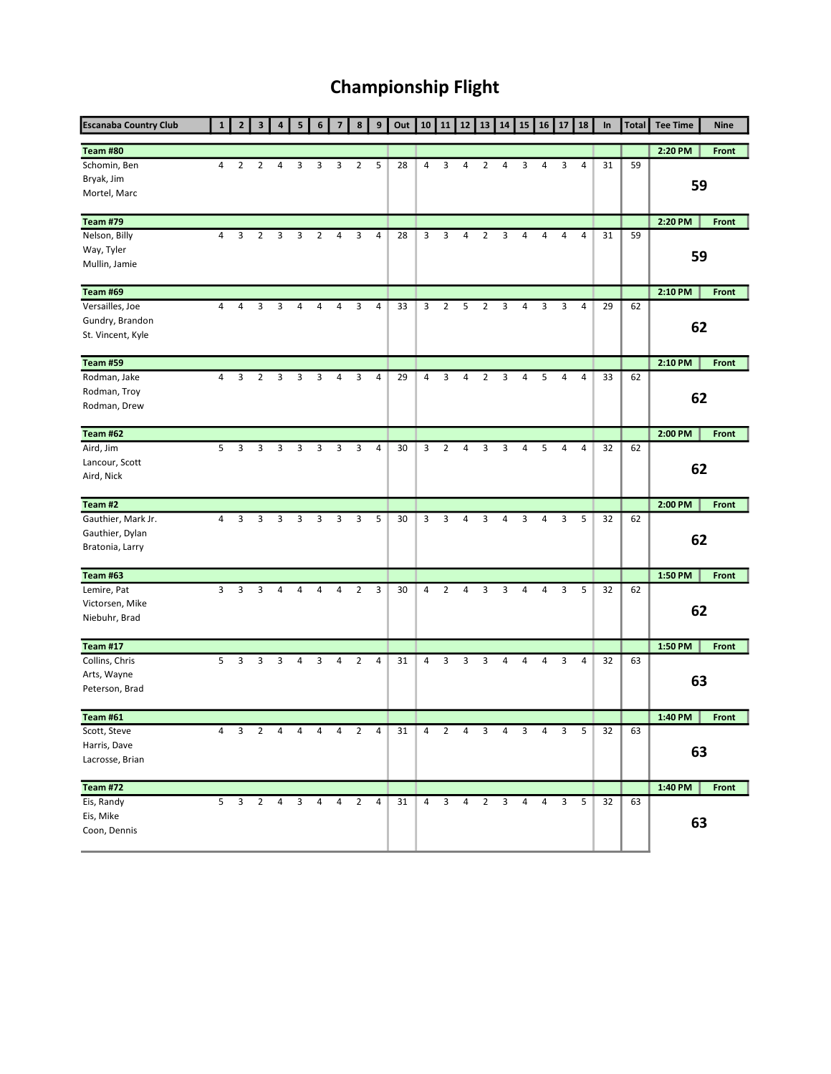## Championship Flight

| <b>Escanaba Country Club</b> |   | $\overline{2}$ | 3              | 4 | 5                   | 6              | $\overline{7}$ | 8              | 9              | Out | 10             | 11             | 12 | 13             | 14 | 15 | 16 | 17 | 18             | In | <b>Total</b> | <b>Tee Time</b> | <b>Nine</b>  |
|------------------------------|---|----------------|----------------|---|---------------------|----------------|----------------|----------------|----------------|-----|----------------|----------------|----|----------------|----|----|----|----|----------------|----|--------------|-----------------|--------------|
| <b>Team #80</b>              |   |                |                |   |                     |                |                |                |                |     |                |                |    |                |    |    |    |    |                |    |              | 2:20 PM         | <b>Front</b> |
| Schomin, Ben                 | 4 | $\overline{2}$ | $\overline{2}$ | 4 | 3                   | 3              | 3              | $\overline{2}$ | 5              | 28  | $\overline{4}$ | 3              | 4  | 2              | 4  | 3  | 4  | 3  | 4              | 31 | 59           |                 |              |
| Bryak, Jim                   |   |                |                |   |                     |                |                |                |                |     |                |                |    |                |    |    |    |    |                |    |              | 59              |              |
| Mortel, Marc                 |   |                |                |   |                     |                |                |                |                |     |                |                |    |                |    |    |    |    |                |    |              |                 |              |
| <b>Team #79</b>              |   |                |                |   |                     |                |                |                |                |     |                |                |    |                |    |    |    |    |                |    |              | 2:20 PM         | Front        |
| Nelson, Billy                | 4 | 3              | $\overline{2}$ | 3 | 3                   | $\overline{2}$ | 4              | 3              | 4              | 28  | 3              | 3              | 4  | 2              | 3  | 4  | 4  | 4  | 4              | 31 | 59           |                 |              |
| Way, Tyler                   |   |                |                |   |                     |                |                |                |                |     |                |                |    |                |    |    |    |    |                |    |              | 59              |              |
| Mullin, Jamie                |   |                |                |   |                     |                |                |                |                |     |                |                |    |                |    |    |    |    |                |    |              |                 |              |
| Team #69                     |   |                |                |   |                     |                |                |                |                |     |                |                |    |                |    |    |    |    |                |    |              | 2:10 PM         | Front        |
| Versailles, Joe              | 4 | 4              | 3              | 3 | 4                   | 4              | 4              | 3              | $\overline{4}$ | 33  | 3              | $\overline{2}$ | 5  | $\overline{2}$ | 3  | 4  | 3  | 3  | 4              | 29 | 62           |                 |              |
| Gundry, Brandon              |   |                |                |   |                     |                |                |                |                |     |                |                |    |                |    |    |    |    |                |    |              | 62              |              |
| St. Vincent, Kyle            |   |                |                |   |                     |                |                |                |                |     |                |                |    |                |    |    |    |    |                |    |              |                 |              |
| <b>Team #59</b>              |   |                |                |   |                     |                |                |                |                |     |                |                |    |                |    |    |    |    |                |    |              | 2:10 PM         | Front        |
| Rodman, Jake                 | 4 | 3              | 2              | 3 | 3                   | 3              | 4              | 3              | 4              | 29  | 4              | 3              | 4  | 2              | 3  | 4  | 5  | 4  | 4              | 33 | 62           |                 |              |
| Rodman, Troy                 |   |                |                |   |                     |                |                |                |                |     |                |                |    |                |    |    |    |    |                |    |              | 62              |              |
| Rodman, Drew                 |   |                |                |   |                     |                |                |                |                |     |                |                |    |                |    |    |    |    |                |    |              |                 |              |
| Team #62                     |   |                |                |   |                     |                |                |                |                |     |                |                |    |                |    |    |    |    |                |    |              | 2:00 PM         | Front        |
| Aird, Jim                    | 5 | 3              | 3              | 3 | 3                   | 3              | 3              | 3              | 4              | 30  | 3              | 2              | 4  | 3              | 3  | 4  | 5  | 4  | $\overline{4}$ | 32 | 62           |                 |              |
| Lancour, Scott               |   |                |                |   |                     |                |                |                |                |     |                |                |    |                |    |    |    |    |                |    |              | 62              |              |
| Aird, Nick                   |   |                |                |   |                     |                |                |                |                |     |                |                |    |                |    |    |    |    |                |    |              |                 |              |
| Team #2                      |   |                |                |   |                     |                |                |                |                |     |                |                |    |                |    |    |    |    |                |    |              | 2:00 PM         | <b>Front</b> |
| Gauthier, Mark Jr.           | 4 | 3              | 3              | 3 | 3                   | 3              | 3              | 3              | 5              | 30  | 3              | 3              | 4  | 3              | 4  | 3  | 4  | 3  | 5              | 32 | 62           |                 |              |
| Gauthier, Dylan              |   |                |                |   |                     |                |                |                |                |     |                |                |    |                |    |    |    |    |                |    |              | 62              |              |
| Bratonia, Larry              |   |                |                |   |                     |                |                |                |                |     |                |                |    |                |    |    |    |    |                |    |              |                 |              |
| <b>Team #63</b>              |   |                |                |   |                     |                |                |                |                |     |                |                |    |                |    |    |    |    |                |    |              | 1:50 PM         | <b>Front</b> |
| Lemire, Pat                  | 3 | 3              | 3              | 4 | 4                   | 4              | 4              | $\overline{2}$ | 3              | 30  | 4              | 2              | 4  | 3              | 3  | 4  | 4  | 3  | 5              | 32 | 62           |                 |              |
| Victorsen, Mike              |   |                |                |   |                     |                |                |                |                |     |                |                |    |                |    |    |    |    |                |    |              | 62              |              |
| Niebuhr, Brad                |   |                |                |   |                     |                |                |                |                |     |                |                |    |                |    |    |    |    |                |    |              |                 |              |
| <b>Team #17</b>              |   |                |                |   |                     |                |                |                |                |     |                |                |    |                |    |    |    |    |                |    |              | 1:50 PM         | Front        |
| Collins, Chris               | 5 | 3              | 3              | 3 | 4                   | 3              | 4              | 2              | 4              | 31  | 4              | 3              | 3  | 3              | 4  | 4  | 4  | 3  | 4              | 32 | 63           |                 |              |
| Arts, Wayne                  |   |                |                |   |                     |                |                |                |                |     |                |                |    |                |    |    |    |    |                |    |              | 63              |              |
| Peterson, Brad               |   |                |                |   |                     |                |                |                |                |     |                |                |    |                |    |    |    |    |                |    |              |                 |              |
| <b>Team #61</b>              |   |                |                |   |                     |                |                |                |                |     |                |                |    |                |    |    |    |    |                |    |              | 1:40 PM         | <b>Front</b> |
| Scott, Steve                 | 4 | 3              | $\overline{2}$ | 4 | 4                   | 4              | 4              | $\overline{2}$ | 4              | 31  | 4              | $\overline{2}$ | 4  | 3              | 4  | 3  | 4  | 3  | 5              | 32 | 63           |                 |              |
| Harris, Dave                 |   |                |                |   |                     |                |                |                |                |     |                |                |    |                |    |    |    |    |                |    |              | 63              |              |
| Lacrosse, Brian              |   |                |                |   |                     |                |                |                |                |     |                |                |    |                |    |    |    |    |                |    |              |                 |              |
| <b>Team #72</b>              |   |                |                |   |                     |                |                |                |                |     |                |                |    |                |    |    |    |    |                |    |              | 1:40 PM         | <b>Front</b> |
| Eis, Randy                   | 5 |                | 3 <sub>2</sub> |   | $4 \quad 3 \quad 4$ |                | $\overline{4}$ | $\overline{2}$ | $\overline{4}$ | 31  | $\overline{4}$ | $\overline{3}$ | 4  | $\overline{2}$ | 3  | 4  | 4  | 3  | 5              | 32 | 63           |                 |              |
| Eis, Mike                    |   |                |                |   |                     |                |                |                |                |     |                |                |    |                |    |    |    |    |                |    |              | 63              |              |
| Coon, Dennis                 |   |                |                |   |                     |                |                |                |                |     |                |                |    |                |    |    |    |    |                |    |              |                 |              |
|                              |   |                |                |   |                     |                |                |                |                |     |                |                |    |                |    |    |    |    |                |    |              |                 |              |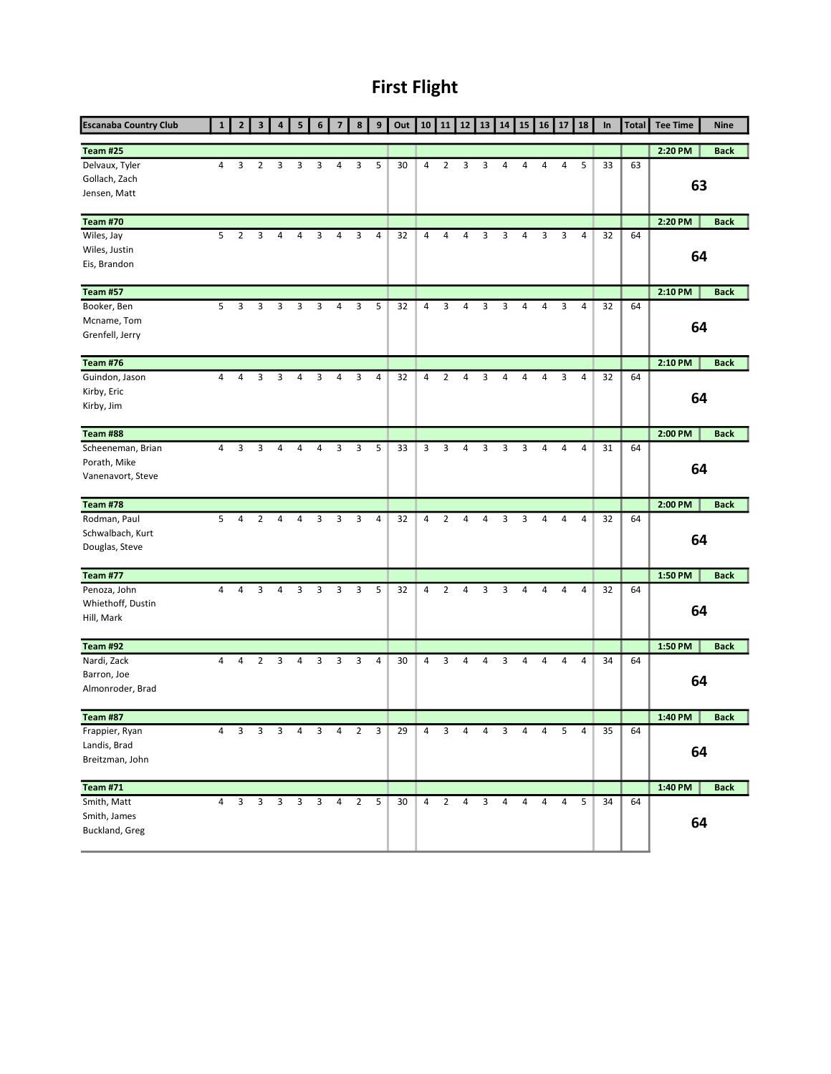## First Flight

| <b>Escanaba Country Club</b>                           |   | $\overline{2}$ | 3              | $\overline{a}$ | 5 | 6           | $\overline{7}$ | 8              | 9 | Out | 10             | 11             | 12             | 13 | 14 | 15 | 16 | 17 | 18 | In | <b>Total</b> | <b>Tee Time</b> | <b>Nine</b> |
|--------------------------------------------------------|---|----------------|----------------|----------------|---|-------------|----------------|----------------|---|-----|----------------|----------------|----------------|----|----|----|----|----|----|----|--------------|-----------------|-------------|
| <b>Team #25</b>                                        |   |                |                |                |   |             |                |                |   |     |                |                |                |    |    |    |    |    |    |    |              | 2:20 PM         | <b>Back</b> |
| Delvaux, Tyler<br>Gollach, Zach<br>Jensen, Matt        | 4 | 3              | 2              | 3              | 3 | 3           | 4              | 3              | 5 | 30  | 4              | $\overline{2}$ | 3              | 3  | 4  | 4  | 4  | 4  | 5  | 33 | 63           | 63              |             |
| <b>Team #70</b>                                        |   |                |                |                |   |             |                |                |   |     |                |                |                |    |    |    |    |    |    |    |              | 2:20 PM         | <b>Back</b> |
| Wiles, Jay                                             | 5 | $\overline{2}$ | 3              | 4              | 4 | 3           | 4              | 3              | 4 | 32  | 4              | 4              | 4              | 3  | 3  | 4  | 3  | 3  | 4  | 32 | 64           |                 |             |
| Wiles, Justin<br>Eis, Brandon                          |   |                |                |                |   |             |                |                |   |     |                |                |                |    |    |    |    |    |    |    |              | 64              |             |
| <b>Team #57</b>                                        |   |                |                |                |   |             |                |                |   |     |                |                |                |    |    |    |    |    |    |    |              | 2:10 PM         | <b>Back</b> |
| Booker, Ben<br>Mcname, Tom<br>Grenfell, Jerry          | 5 | 3              | 3              | 3              | 3 | 3           | 4              | 3              | 5 | 32  | 4              | 3              | 4              | 3  | 3  | 4  | 4  | 3  | 4  | 32 | 64           | 64              |             |
| <b>Team #76</b>                                        |   |                |                |                |   |             |                |                |   |     |                |                |                |    |    |    |    |    |    |    |              | 2:10 PM         | <b>Back</b> |
| Guindon, Jason<br>Kirby, Eric<br>Kirby, Jim            | 4 | 4              | 3              | 3              | 4 | 3           | 4              | 3              | 4 | 32  | 4              | 2              | 4              | 3  | 4  | 4  | 4  | 3  | 4  | 32 | 64           | 64              |             |
| Team #88                                               |   |                |                |                |   |             |                |                |   |     |                |                |                |    |    |    |    |    |    |    |              | 2:00 PM         | <b>Back</b> |
| Scheeneman, Brian<br>Porath, Mike<br>Vanenavort, Steve | 4 | 3              | 3              | 4              | 4 | 4           | 3              | 3              | 5 | 33  | 3              | 3              | 4              | 3  | 3  | 3  | 4  | 4  | 4  | 31 | 64           | 64              |             |
| <b>Team #78</b>                                        |   |                |                |                |   |             |                |                |   |     |                |                |                |    |    |    |    |    |    |    |              | 2:00 PM         | <b>Back</b> |
| Rodman, Paul<br>Schwalbach, Kurt<br>Douglas, Steve     | 5 | 4              | $\overline{2}$ | 4              | 4 | 3           | 3              | 3              | 4 | 32  | $\overline{4}$ | $\overline{2}$ | $\overline{4}$ | 4  | 3  | 3  | 4  | 4  | 4  | 32 | 64           | 64              |             |
| <b>Team #77</b>                                        |   |                |                |                |   |             |                |                |   |     |                |                |                |    |    |    |    |    |    |    |              | 1:50 PM         | <b>Back</b> |
| Penoza, John<br>Whiethoff, Dustin<br>Hill, Mark        | 4 | 4              | 3              | 4              | 3 | 3           | 3              | 3              | 5 | 32  | 4              | $\overline{2}$ | 4              | 3  | 3  | 4  | 4  | 4  | 4  | 32 | 64           | 64              |             |
| <b>Team #92</b>                                        |   |                |                |                |   |             |                |                |   |     |                |                |                |    |    |    |    |    |    |    |              | 1:50 PM         | <b>Back</b> |
| Nardi, Zack<br>Barron, Joe<br>Almonroder, Brad         | 4 | 4              | 2              | 3              | 4 | 3           | 3              | 3              | 4 | 30  | 4              | 3              | $\overline{4}$ | 4  | 3  | 4  | 4  | 4  | 4  | 34 | 64           | 64              |             |
| <b>Team #87</b>                                        |   |                |                |                |   |             |                |                |   |     |                |                |                |    |    |    |    |    |    |    |              | 1:40 PM         | <b>Back</b> |
| Frappier, Ryan<br>Landis, Brad<br>Breitzman, John      | 4 | 3              | 3              | 3              | 4 | 3           | 4              | $\overline{2}$ | 3 | 29  | 4              | 3              | 4              | 4  | 3  | 4  | 4  | 5  | 4  | 35 | 64           | 64              |             |
| <b>Team #71</b>                                        |   |                |                |                |   |             |                |                |   |     |                |                |                |    |    |    |    |    |    |    |              | 1:40 PM         | <b>Back</b> |
| Smith, Matt<br>Smith, James<br>Buckland, Greg          | 4 | 3              | 3              | 3 <sup>7</sup> |   | $3 \quad 3$ | 4              | $\overline{2}$ | 5 | 30  | $\overline{4}$ | $\overline{2}$ | 4              | 3  | 4  | 4  | 4  | 4  | 5  | 34 | 64           | 64              |             |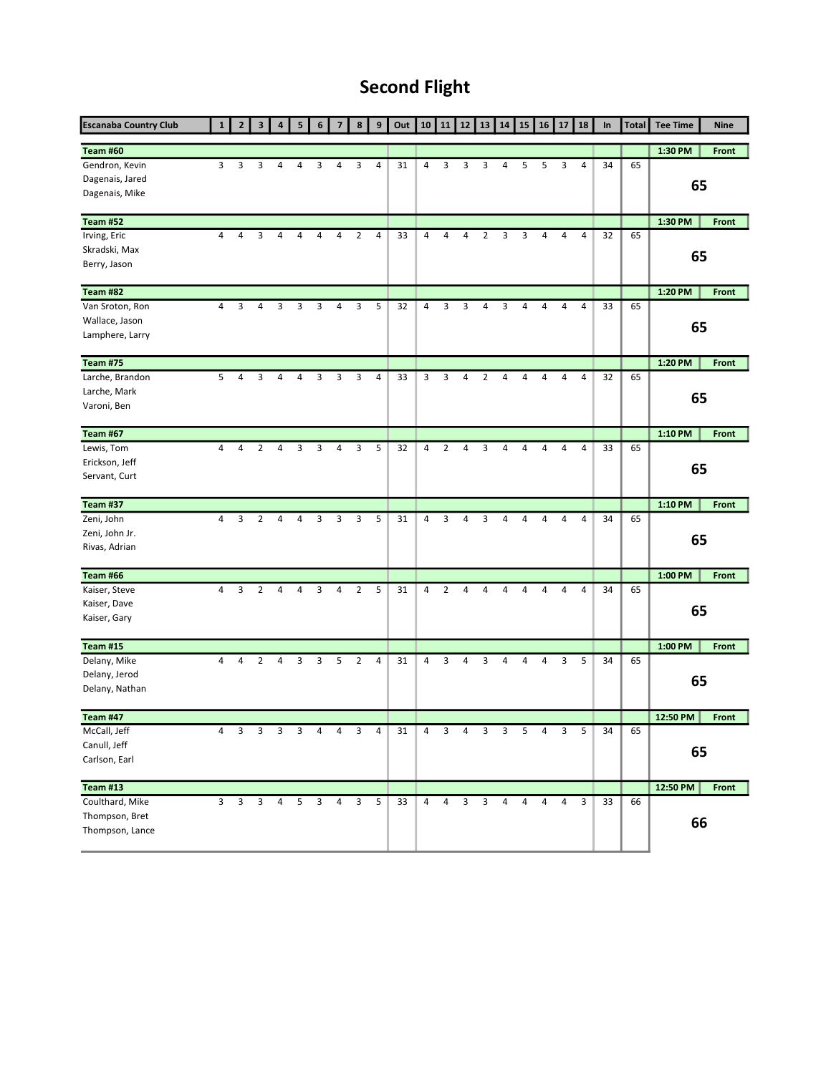## Second Flight

| <b>Escanaba Country Club</b>                        | 1              | $\overline{2}$          | $\overline{\mathbf{3}}$ | 4              | 5 | 6           | $\overline{7}$ | 8              | 9              | Out | 10             | 11             | 12           | 13                      | 14 | 15 | 16 | 17 | 18             | $\ln$ | <b>Total</b> | <b>Tee Time</b> | <b>Nine</b>  |
|-----------------------------------------------------|----------------|-------------------------|-------------------------|----------------|---|-------------|----------------|----------------|----------------|-----|----------------|----------------|--------------|-------------------------|----|----|----|----|----------------|-------|--------------|-----------------|--------------|
| <b>Team #60</b>                                     |                |                         |                         |                |   |             |                |                |                |     |                |                |              |                         |    |    |    |    |                |       |              | 1:30 PM         | <b>Front</b> |
| Gendron, Kevin<br>Dagenais, Jared<br>Dagenais, Mike | 3              | 3                       | 3                       | 4              | 4 | 3           | 4              | 3              | 4              | 31  | 4              | 3              | 3            | 3                       | 4  | 5  | 5  | 3  | 4              | 34    | 65           | 65              |              |
| <b>Team #52</b>                                     |                |                         |                         |                |   |             |                |                |                |     |                |                |              |                         |    |    |    |    |                |       |              | 1:30 PM         | Front        |
| Irving, Eric                                        | $\overline{4}$ | 4                       | 3                       | 4              | 4 | 4           | 4              | $\overline{2}$ | $\overline{4}$ | 33  | 4              | 4              | 4            | 2                       | 3  | 3  | 4  | 4  | 4              | 32    | 65           |                 |              |
| Skradski, Max                                       |                |                         |                         |                |   |             |                |                |                |     |                |                |              |                         |    |    |    |    |                |       |              | 65              |              |
| Berry, Jason                                        |                |                         |                         |                |   |             |                |                |                |     |                |                |              |                         |    |    |    |    |                |       |              |                 |              |
| <b>Team #82</b>                                     |                |                         |                         |                |   |             |                |                |                |     |                |                |              |                         |    |    |    |    |                |       |              | 1:20 PM         | Front        |
| Van Sroton, Ron                                     | 4              | 3                       | 4                       | 3              | 3 | 3           | $\overline{4}$ | 3              | 5              | 32  | $\overline{4}$ | 3              | 3            | $\overline{4}$          | 3  | 4  | 4  | 4  | $\overline{4}$ | 33    | 65           |                 |              |
| Wallace, Jason                                      |                |                         |                         |                |   |             |                |                |                |     |                |                |              |                         |    |    |    |    |                |       |              | 65              |              |
| Lamphere, Larry                                     |                |                         |                         |                |   |             |                |                |                |     |                |                |              |                         |    |    |    |    |                |       |              |                 |              |
| <b>Team #75</b>                                     |                |                         |                         |                |   |             |                |                |                |     |                |                |              |                         |    |    |    |    |                |       |              | 1:20 PM         | Front        |
| Larche, Brandon                                     | 5              | 4                       | 3                       | 4              | 4 | 3           | 3              | 3              | 4              | 33  | 3              | 3              | 4            | $\overline{2}$          | 4  | 4  | 4  | 4  | 4              | 32    | 65           |                 |              |
| Larche, Mark                                        |                |                         |                         |                |   |             |                |                |                |     |                |                |              |                         |    |    |    |    |                |       |              | 65              |              |
| Varoni, Ben                                         |                |                         |                         |                |   |             |                |                |                |     |                |                |              |                         |    |    |    |    |                |       |              |                 |              |
| <b>Team #67</b>                                     |                |                         |                         |                |   |             |                |                |                |     |                |                |              |                         |    |    |    |    |                |       |              | 1:10 PM         | Front        |
| Lewis, Tom                                          | $\overline{4}$ | 4                       | 2                       | 4              | 3 | 3           | 4              | 3              | 5              | 32  | $\overline{4}$ | 2              | 4            | 3                       | 4  | 4  | 4  | 4  | 4              | 33    | 65           |                 |              |
| Erickson, Jeff                                      |                |                         |                         |                |   |             |                |                |                |     |                |                |              |                         |    |    |    |    |                |       |              | 65              |              |
| Servant, Curt                                       |                |                         |                         |                |   |             |                |                |                |     |                |                |              |                         |    |    |    |    |                |       |              |                 |              |
| <b>Team #37</b>                                     |                |                         |                         |                |   |             |                |                |                |     |                |                |              |                         |    |    |    |    |                |       |              | 1:10 PM         | Front        |
| Zeni, John                                          | 4              | 3                       | $\overline{2}$          | 4              | 4 | 3           | 3              | 3              | 5              | 31  | 4              | 3              | 4            | 3                       | 4  | 4  | 4  | 4  | 4              | 34    | 65           |                 |              |
| Zeni, John Jr.                                      |                |                         |                         |                |   |             |                |                |                |     |                |                |              |                         |    |    |    |    |                |       |              | 65              |              |
| Rivas, Adrian                                       |                |                         |                         |                |   |             |                |                |                |     |                |                |              |                         |    |    |    |    |                |       |              |                 |              |
| Team #66                                            |                |                         |                         |                |   |             |                |                |                |     |                |                |              |                         |    |    |    |    |                |       |              | 1:00 PM         | <b>Front</b> |
| Kaiser, Steve                                       | 4              | 3                       | $\overline{2}$          | 4              | 4 | 3           | 4              | $\overline{2}$ | 5              | 31  | 4              | $\overline{2}$ | 4            | $\overline{a}$          | 4  | 4  | 4  | 4  | $\sqrt{4}$     | 34    | 65           |                 |              |
| Kaiser, Dave                                        |                |                         |                         |                |   |             |                |                |                |     |                |                |              |                         |    |    |    |    |                |       |              | 65              |              |
| Kaiser, Gary                                        |                |                         |                         |                |   |             |                |                |                |     |                |                |              |                         |    |    |    |    |                |       |              |                 |              |
| Team #15                                            |                |                         |                         |                |   |             |                |                |                |     |                |                |              |                         |    |    |    |    |                |       |              | 1:00 PM         | <b>Front</b> |
| Delany, Mike                                        | $\overline{4}$ | 4                       | $\overline{2}$          | 4              | 3 | 3           | 5              | 2              | 4              | 31  | $\overline{4}$ | 3              | 4            | 3                       | 4  | 4  | 4  | 3  | 5              | 34    | 65           |                 |              |
| Delany, Jerod                                       |                |                         |                         |                |   |             |                |                |                |     |                |                |              |                         |    |    |    |    |                |       |              | 65              |              |
| Delany, Nathan                                      |                |                         |                         |                |   |             |                |                |                |     |                |                |              |                         |    |    |    |    |                |       |              |                 |              |
| <b>Team #47</b>                                     |                |                         |                         |                |   |             |                |                |                |     |                |                |              |                         |    |    |    |    |                |       |              | 12:50 PM        | Front        |
| McCall, Jeff                                        | 4              | 3                       | 3                       | 3              | 3 | 4           | 4              | 3              | 4              | 31  | 4              | 3              | 4            | 3                       | 3  | 5  | 4  | 3  | 5              | 34    | 65           |                 |              |
| Canull, Jeff                                        |                |                         |                         |                |   |             |                |                |                |     |                |                |              |                         |    |    |    |    |                |       |              | 65              |              |
| Carlson, Earl                                       |                |                         |                         |                |   |             |                |                |                |     |                |                |              |                         |    |    |    |    |                |       |              |                 |              |
| <b>Team #13</b>                                     |                |                         |                         |                |   |             |                |                |                |     |                |                |              |                         |    |    |    |    |                |       |              | 12:50 PM        | Front        |
| Coulthard, Mike                                     | $\overline{3}$ | $\overline{\mathbf{3}}$ | $\overline{3}$          | $\overline{4}$ |   | $5 \quad 3$ | 4              | $\overline{3}$ | 5              | 33  | $\overline{4}$ | $\overline{4}$ | $\mathbf{3}$ | $\overline{\mathbf{3}}$ | 4  | 4  | 4  | 4  | 3              | 33    | 66           |                 |              |
| Thompson, Bret                                      |                |                         |                         |                |   |             |                |                |                |     |                |                |              |                         |    |    |    |    |                |       |              | 66              |              |
| Thompson, Lance                                     |                |                         |                         |                |   |             |                |                |                |     |                |                |              |                         |    |    |    |    |                |       |              |                 |              |
|                                                     |                |                         |                         |                |   |             |                |                |                |     |                |                |              |                         |    |    |    |    |                |       |              |                 |              |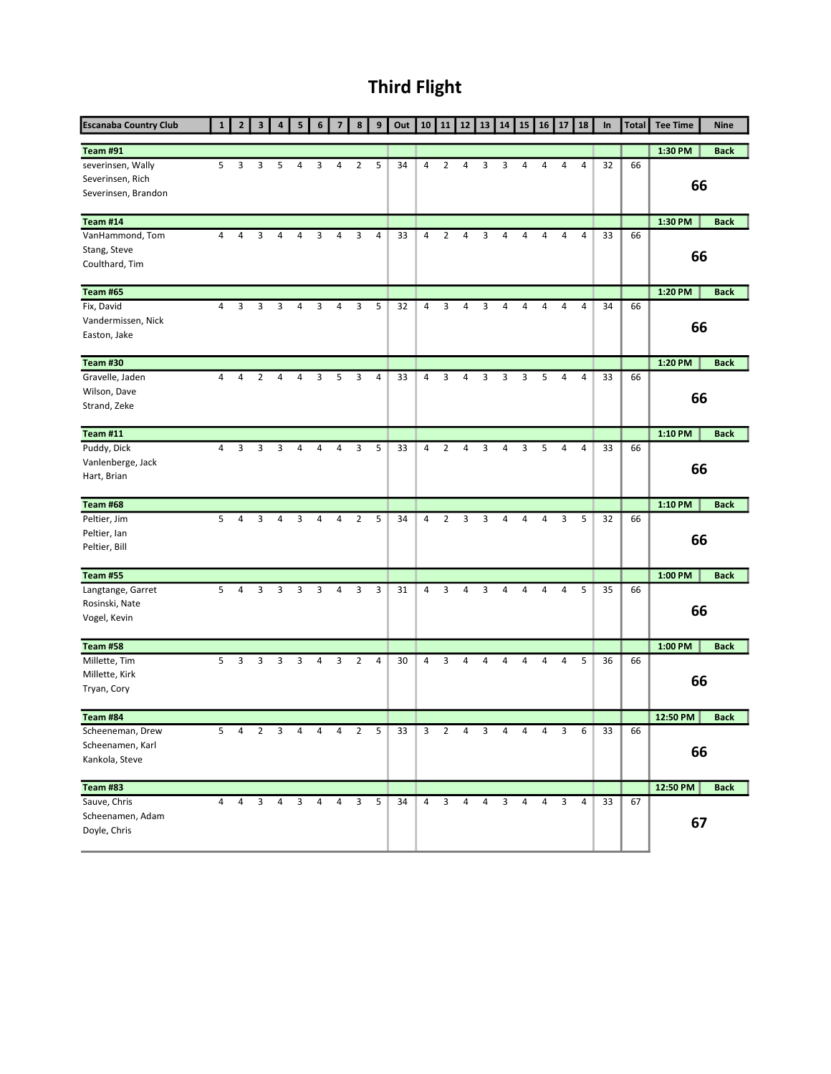# Third Flight

| <b>Escanaba Country Club</b>                                 |   | $\overline{2}$ | 3              | $\overline{a}$ | 5 |   | 7              | 8              | 9 | Out | 10             | 11             | 12 | 13 | 14 | 15 | 16 | 17 | 18 | In | <b>Total</b> | <b>Tee Time</b> | <b>Nine</b> |
|--------------------------------------------------------------|---|----------------|----------------|----------------|---|---|----------------|----------------|---|-----|----------------|----------------|----|----|----|----|----|----|----|----|--------------|-----------------|-------------|
| <b>Team #91</b>                                              |   |                |                |                |   |   |                |                |   |     |                |                |    |    |    |    |    |    |    |    |              | 1:30 PM         | <b>Back</b> |
| severinsen, Wally<br>Severinsen, Rich<br>Severinsen, Brandon | 5 | 3              | 3              | 5              | 4 | 3 | 4              | $\overline{2}$ | 5 | 34  | 4              | $\overline{2}$ | 4  | 3  | 3  | 4  | 4  | 4  | 4  | 32 | 66           | 66              |             |
| Team #14                                                     |   |                |                |                |   |   |                |                |   |     |                |                |    |    |    |    |    |    |    |    |              | 1:30 PM         | <b>Back</b> |
| VanHammond, Tom<br>Stang, Steve<br>Coulthard, Tim            | 4 | 4              | 3              | 4              | 4 | 3 | 4              | 3              | 4 | 33  | 4              | $\overline{2}$ | 4  | 3  | 4  | 4  | 4  | 4  | 4  | 33 | 66           | 66              |             |
| <b>Team #65</b>                                              |   |                |                |                |   |   |                |                |   |     |                |                |    |    |    |    |    |    |    |    |              | 1:20 PM         | <b>Back</b> |
| Fix, David<br>Vandermissen, Nick<br>Easton, Jake             | 4 | 3              | 3              | 3              | 4 | 3 | 4              | 3              | 5 | 32  | 4              | 3              | 4  | 3  | 4  | 4  | 4  | 4  | 4  | 34 | 66           | 66              |             |
| <b>Team #30</b>                                              |   |                |                |                |   |   |                |                |   |     |                |                |    |    |    |    |    |    |    |    |              | 1:20 PM         | <b>Back</b> |
| Gravelle, Jaden<br>Wilson, Dave<br>Strand, Zeke              | 4 | 4              | 2              | 4              | 4 | 3 | 5              | 3              | 4 | 33  | 4              | 3              | 4  | 3  | 3  | 3  | 5  | 4  | 4  | 33 | 66           | 66              |             |
| <b>Team #11</b>                                              |   |                |                |                |   |   |                |                |   |     |                |                |    |    |    |    |    |    |    |    |              | 1:10 PM         | <b>Back</b> |
| Puddy, Dick<br>Vanlenberge, Jack<br>Hart, Brian              | 4 | 3              | 3              | 3              | 4 | 4 | 4              | 3              | 5 | 33  | 4              | 2              | 4  | 3  | 4  | 3  | 5  | 4  | 4  | 33 | 66           | 66              |             |
| Team #68                                                     |   |                |                |                |   |   |                |                |   |     |                |                |    |    |    |    |    |    |    |    |              | 1:10 PM         | <b>Back</b> |
| Peltier, Jim<br>Peltier, Ian<br>Peltier, Bill                | 5 | 4              | 3              | 4              | 3 | 4 | $\overline{4}$ | $\overline{2}$ | 5 | 34  | $\overline{4}$ | $\overline{2}$ | 3  | 3  | 4  | 4  | 4  | 3  | 5  | 32 | 66           | 66              |             |
| <b>Team #55</b>                                              |   |                |                |                |   |   |                |                |   |     |                |                |    |    |    |    |    |    |    |    |              | 1:00 PM         | <b>Back</b> |
| Langtange, Garret<br>Rosinski, Nate<br>Vogel, Kevin          | 5 | 4              | 3              | 3              | 3 | 3 | 4              | 3              | 3 | 31  | 4              | 3              | 4  | 3  | 4  | 4  | 4  | 4  | 5  | 35 | 66           | 66              |             |
| <b>Team #58</b>                                              |   |                |                |                |   |   |                |                |   |     |                |                |    |    |    |    |    |    |    |    |              | 1:00 PM         | <b>Back</b> |
| Millette, Tim<br>Millette, Kirk<br>Tryan, Cory               | 5 | 3              | 3              | 3              | 3 | 4 | 3              | $\overline{2}$ | 4 | 30  | 4              | 3              | 4  | 4  | 4  | 4  | 4  | 4  | 5  | 36 | 66           | 66              |             |
| Team #84                                                     |   |                |                |                |   |   |                |                |   |     |                |                |    |    |    |    |    |    |    |    |              | 12:50 PM        | <b>Back</b> |
| Scheeneman, Drew<br>Scheenamen, Karl<br>Kankola, Steve       | 5 | 4              | $\overline{2}$ | 3              | 4 | 4 | 4              | $\overline{2}$ | 5 | 33  | 3              | $\overline{2}$ | 4  | 3  | 4  | 4  | 4  | 3  | 6  | 33 | 66           | 66              |             |
| <b>Team #83</b>                                              |   |                |                |                |   |   |                |                |   |     |                |                |    |    |    |    |    |    |    |    |              | 12:50 PM        | <b>Back</b> |
| Sauve, Chris<br>Scheenamen, Adam<br>Doyle, Chris             | 4 | 4              | 3              | 4              | 3 | 4 | 4              | 3              | 5 | 34  | $\overline{4}$ | 3              | 4  | 4  | 3  | 4  | 4  | 3  | 4  | 33 | 67           | 67              |             |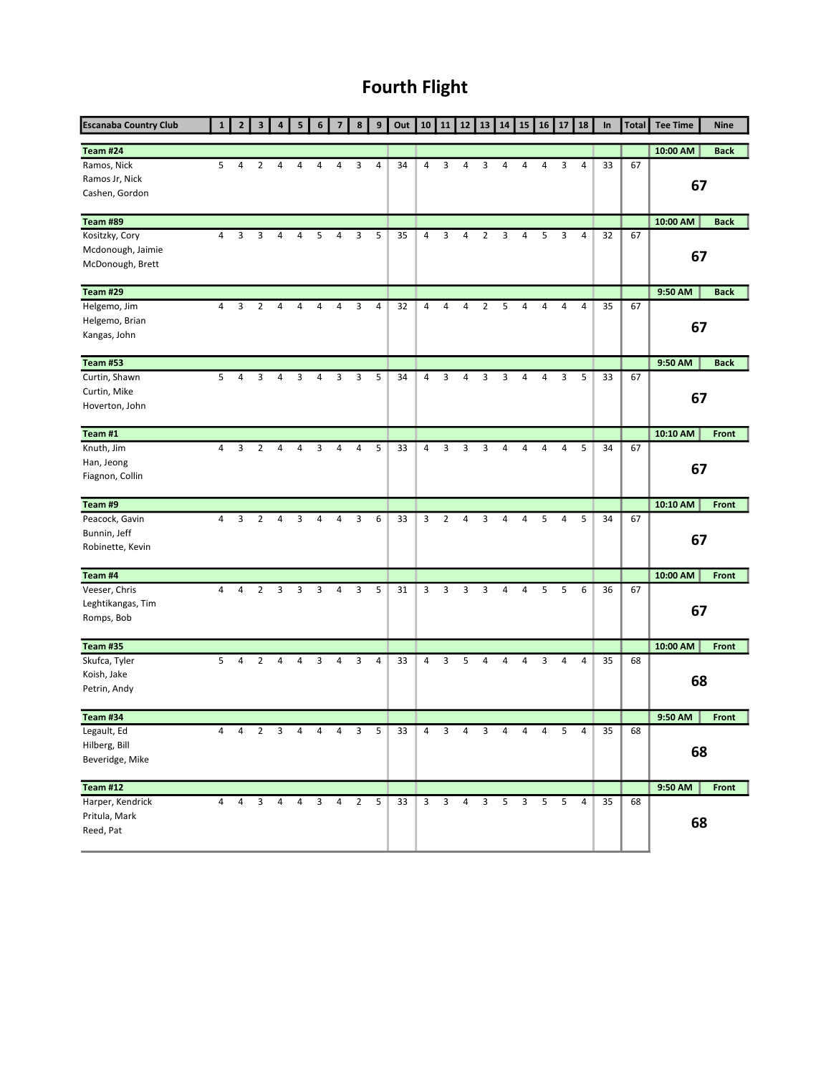## Fourth Flight

| <b>Escanaba Country Club</b>                            | 1              | $\overline{2}$ | 3              | 4              | 5 | 6              | $\overline{7}$ | 8              | 9              | Out | 10             | 11             | 12             | 13             | 14 | 15             | 16 | 17 | 18             | In | <b>Total</b> | <b>Tee Time</b> | <b>Nine</b>  |
|---------------------------------------------------------|----------------|----------------|----------------|----------------|---|----------------|----------------|----------------|----------------|-----|----------------|----------------|----------------|----------------|----|----------------|----|----|----------------|----|--------------|-----------------|--------------|
| Team #24                                                |                |                |                |                |   |                |                |                |                |     |                |                |                |                |    |                |    |    |                |    |              | 10:00 AM        | <b>Back</b>  |
| Ramos, Nick<br>Ramos Jr, Nick<br>Cashen, Gordon         | 5              | 4              | 2              | 4              | 4 | 4              | 4              | 3              | 4              | 34  | 4              | 3              | 4              | 3              | 4  | 4              | 4  | 3  | 4              | 33 | 67           | 67              |              |
| Team #89                                                |                |                |                |                |   |                |                |                |                |     |                |                |                |                |    |                |    |    |                |    |              | 10:00 AM        | <b>Back</b>  |
| Kositzky, Cory<br>Mcdonough, Jaimie<br>McDonough, Brett | 4              | 3              | 3              | 4              | 4 | 5              | 4              | 3              | 5              | 35  | 4              | 3              | 4              | 2              | 3  | 4              | 5  | 3  | $\overline{4}$ | 32 | 67           | 67              |              |
| Team #29                                                |                |                |                |                |   |                |                |                |                |     |                |                |                |                |    |                |    |    |                |    |              | 9:50 AM         | <b>Back</b>  |
| Helgemo, Jim<br>Helgemo, Brian<br>Kangas, John          | 4              | 3              | $\overline{2}$ | 4              | 4 | $\overline{4}$ | 4              | 3              | $\overline{4}$ | 32  | $\overline{4}$ | $\overline{4}$ | 4              | $\overline{2}$ | 5  | 4              | 4  | 4  | $\overline{4}$ | 35 | 67           | 67              |              |
| <b>Team #53</b>                                         |                |                |                |                |   |                |                |                |                |     |                |                |                |                |    |                |    |    |                |    |              | 9:50 AM         | <b>Back</b>  |
| Curtin, Shawn<br>Curtin, Mike<br>Hoverton, John         | 5              | 4              | 3              | 4              | 3 | 4              | 3              | 3              | 5              | 34  | 4              | 3              | 4              | 3              | 3  | 4              | 4  | 3  | 5              | 33 | 67           | 67              |              |
| Team #1                                                 |                |                |                |                |   |                |                |                |                |     |                |                |                |                |    |                |    |    |                |    |              | 10:10 AM        | Front        |
| Knuth, Jim<br>Han, Jeong<br>Fiagnon, Collin             | $\overline{4}$ | 3              | 2              | 4              | 4 | 3              | 4              | 4              | 5              | 33  | 4              | 3              | 3              | 3              | 4  | 4              | 4  | 4  | 5              | 34 | 67           | 67              |              |
| Team #9                                                 |                |                |                |                |   |                |                |                |                |     |                |                |                |                |    |                |    |    |                |    |              | 10:10 AM        | Front        |
| Peacock, Gavin<br>Bunnin, Jeff<br>Robinette, Kevin      | 4              | 3              | $\overline{2}$ | 4              | 3 | 4              | 4              | 3              | 6              | 33  | 3              | $\overline{2}$ | 4              | 3              | 4  | 4              | 5  | 4  | 5              | 34 | 67           | 67              |              |
| Team #4                                                 |                |                |                |                |   |                |                |                |                |     |                |                |                |                |    |                |    |    |                |    |              | 10:00 AM        | <b>Front</b> |
| Veeser, Chris<br>Leghtikangas, Tim<br>Romps, Bob        | 4              | 4              | $\overline{2}$ | 3              | 3 | 3              | 4              | 3              | 5              | 31  | 3              | 3              | 3              | 3              | 4  | 4              | 5  | 5  | 6              | 36 | 67           | 67              |              |
| <b>Team #35</b>                                         |                |                |                |                |   |                |                |                |                |     |                |                |                |                |    |                |    |    |                |    |              | 10:00 AM        | Front        |
| Skufca, Tyler<br>Koish, Jake<br>Petrin, Andy            | 5              | 4              | 2              | 4              | 4 | 3              | 4              | 3              | 4              | 33  | $\overline{4}$ | 3              | 5              | 4              | 4  | 4              | 3  | 4  | $\overline{4}$ | 35 | 68           | 68              |              |
| <b>Team #34</b>                                         |                |                |                |                |   |                |                |                |                |     |                |                |                |                |    |                |    |    |                |    |              | 9:50 AM         | Front        |
| Legault, Ed<br>Hilberg, Bill<br>Beveridge, Mike         | 4              | 4              | $\overline{2}$ | 3              | 4 | 4              | 4              | 3              | 5              | 33  | 4              | 3              | 4              | 3              | 4  | 4              | 4  | 5  | 4              | 35 | 68           | 68              |              |
| <b>Team #12</b>                                         |                |                |                |                |   |                |                |                |                |     |                |                |                |                |    |                |    |    |                |    |              | 9:50 AM         | Front        |
| Harper, Kendrick<br>Pritula, Mark<br>Reed, Pat          | $\overline{4}$ | $\overline{4}$ | $\mathbf{3}$   | $\overline{4}$ | 4 | 3 <sup>7</sup> | $\overline{4}$ | $\overline{2}$ | 5              | 33  | 3 <sup>7</sup> | $\overline{3}$ | $\overline{4}$ | $\overline{3}$ | 5  | 3 <sup>7</sup> | 5  | 5  | $\overline{4}$ | 35 | 68           | 68              |              |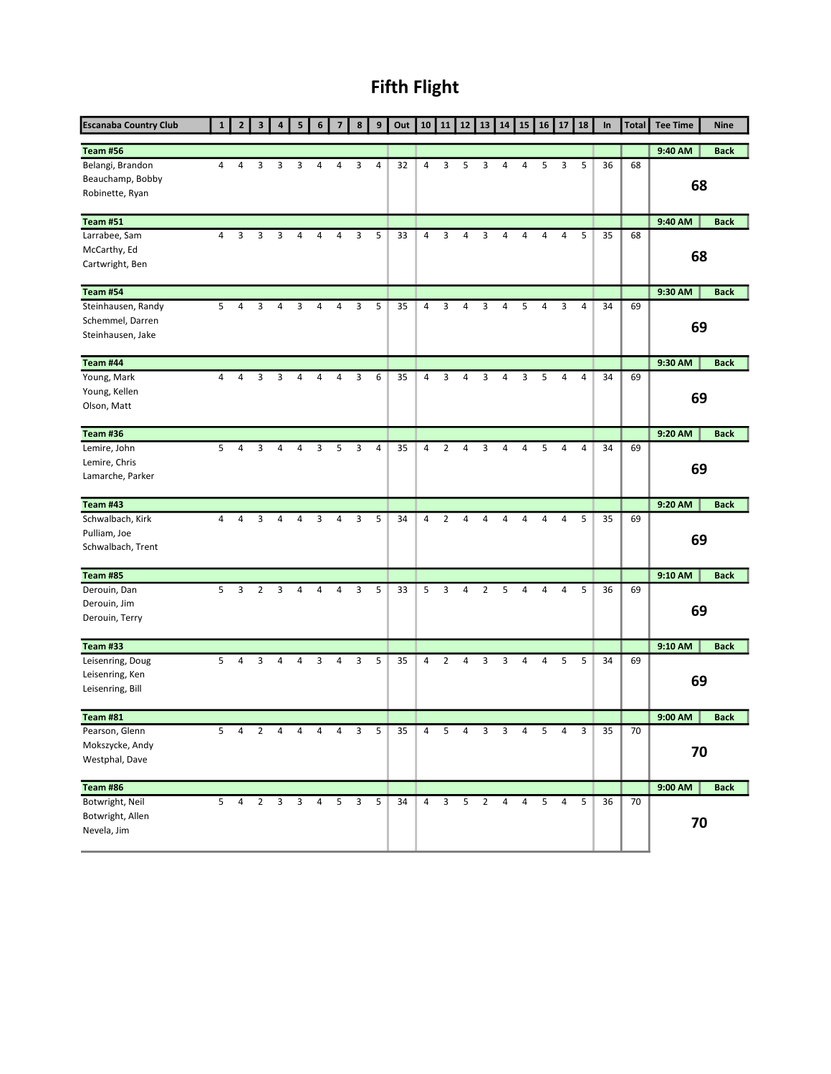## Fifth Flight

| <b>Escanaba Country Club</b>                                |                | $\overline{2}$ | 3              | 4              | 5           |                |   | 8              | 9 | Out | 10             | 11             | 12             | 13             | 14 | 15 | 16             | 17 | 18 | In | <b>Total</b> | <b>Tee Time</b> | <b>Nine</b> |
|-------------------------------------------------------------|----------------|----------------|----------------|----------------|-------------|----------------|---|----------------|---|-----|----------------|----------------|----------------|----------------|----|----|----------------|----|----|----|--------------|-----------------|-------------|
| <b>Team #56</b>                                             |                |                |                |                |             |                |   |                |   |     |                |                |                |                |    |    |                |    |    |    |              | 9:40 AM         | <b>Back</b> |
| Belangi, Brandon<br>Beauchamp, Bobby<br>Robinette, Ryan     | 4              | 4              | 3              | 3              | 3           | 4              | 4 | 3              | 4 | 32  | 4              | 3              | 5              | 3              | 4  | 4  | 5              | 3  | 5  | 36 | 68           | 68              |             |
| <b>Team #51</b>                                             |                |                |                |                |             |                |   |                |   |     |                |                |                |                |    |    |                |    |    |    |              | 9:40 AM         | <b>Back</b> |
| Larrabee, Sam<br>McCarthy, Ed<br>Cartwright, Ben            | $\overline{4}$ | 3              | 3              | 3              | 4           | 4              | 4 | 3              | 5 | 33  | 4              | 3              | 4              | 3              | 4  | 4  | 4              | 4  | 5  | 35 | 68           | 68              |             |
| <b>Team #54</b>                                             |                |                |                |                |             |                |   |                |   |     |                |                |                |                |    |    |                |    |    |    |              | 9:30 AM         | <b>Back</b> |
| Steinhausen, Randy<br>Schemmel, Darren<br>Steinhausen, Jake | 5              | 4              | 3              | 4              | 3           | 4              | 4 | 3              | 5 | 35  | 4              | 3              | 4              | 3              | 4  | 5  | 4              | 3  | 4  | 34 | 69           | 69              |             |
| Team #44                                                    |                |                |                |                |             |                |   |                |   |     |                |                |                |                |    |    |                |    |    |    |              | 9:30 AM         | <b>Back</b> |
| Young, Mark<br>Young, Kellen<br>Olson, Matt                 | 4              | 4              | 3              | 3              | 4           | 4              | 4 | 3              | 6 | 35  | 4              | 3              | 4              | 3              | 4  | 3  | 5              | 4  | 4  | 34 | 69           | 69              |             |
| Team #36                                                    |                |                |                |                |             |                |   |                |   |     |                |                |                |                |    |    |                |    |    |    |              | 9:20 AM         | <b>Back</b> |
| Lemire, John<br>Lemire, Chris<br>Lamarche, Parker           | 5              | $\overline{4}$ | 3              | 4              | 4           | 3              | 5 | 3              | 4 | 35  | 4              | $\overline{2}$ | $\overline{4}$ | 3              | 4  | 4  | 5              | 4  | 4  | 34 | 69           | 69              |             |
| <b>Team #43</b>                                             |                |                |                |                |             |                |   |                |   |     |                |                |                |                |    |    |                |    |    |    |              | 9:20 AM         | <b>Back</b> |
| Schwalbach, Kirk<br>Pulliam, Joe<br>Schwalbach, Trent       | 4              | 4              | 3              | 4              | 4           | 3              | 4 | 3              | 5 | 34  | 4              | $\overline{2}$ | 4              | $\overline{4}$ | 4  | 4  | 4              | 4  | 5  | 35 | 69           | 69              |             |
| <b>Team #85</b>                                             |                |                |                |                |             |                |   |                |   |     |                |                |                |                |    |    |                |    |    |    |              | 9:10 AM         | <b>Back</b> |
| Derouin, Dan<br>Derouin, Jim<br>Derouin, Terry              | 5              | 3              | 2              | 3              | 4           | 4              | 4 | 3              | 5 | 33  | 5              | 3              | 4              | $\overline{2}$ | 5  | 4  | 4              | 4  | 5  | 36 | 69           | 69              |             |
| <b>Team #33</b>                                             |                |                |                |                |             |                |   |                |   |     |                |                |                |                |    |    |                |    |    |    |              | 9:10 AM         | <b>Back</b> |
| Leisenring, Doug<br>Leisenring, Ken<br>Leisenring, Bill     | 5              | 4              | 3              | 4              | 4           | 3              | 4 | 3              | 5 | 35  | 4              | 2              | 4              | 3              | 3  | 4  |                | 5  | 5  | 34 | 69           | 69              |             |
| <b>Team #81</b>                                             |                |                |                |                |             |                |   |                |   |     |                |                |                |                |    |    |                |    |    |    |              | 9:00 AM         | <b>Back</b> |
| Pearson, Glenn<br>Mokszycke, Andy<br>Westphal, Dave         | 5              | 4              | $\overline{2}$ | $\overline{4}$ | 4           | 4              | 4 | 3              | 5 | 35  | 4              | 5              | 4              | 3              | 3  | 4  | 5              | 4  | 3  | 35 | 70           | 70              |             |
| Team #86                                                    |                |                |                |                |             |                |   |                |   |     |                |                |                |                |    |    |                |    |    |    |              | 9:00 AM         | <b>Back</b> |
| Botwright, Neil<br>Botwright, Allen<br>Nevela, Jim          | 5 <sup>7</sup> | $\overline{4}$ | $\overline{2}$ |                | $3 \quad 3$ | $\overline{4}$ | 5 | $\overline{3}$ | 5 | 34  | $\overline{4}$ | $\overline{3}$ | 5              | $\overline{2}$ | 4  | 4  | 5 <sub>5</sub> | 4  | 5  | 36 | 70           | 70              |             |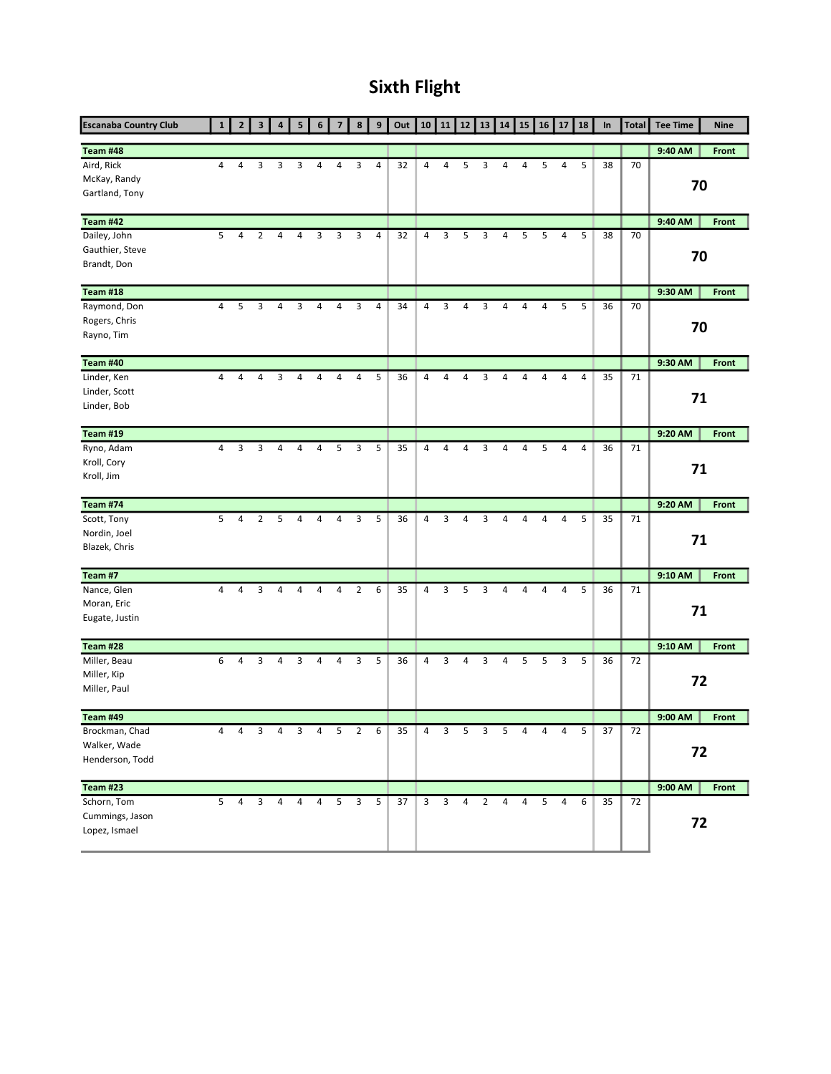### Sixth Flight

| <b>Escanaba Country Club</b>                 | 1              | $\overline{2}$ | 3              | 4 | 5              |                | $\overline{\phantom{a}}$ | 8              | 9              | Out | 10             | 11 | 12             | 13             | 14             | 15             | 16 | 17             | 18 | In | <b>Total</b> | <b>Tee Time</b> | <b>Nine</b> |
|----------------------------------------------|----------------|----------------|----------------|---|----------------|----------------|--------------------------|----------------|----------------|-----|----------------|----|----------------|----------------|----------------|----------------|----|----------------|----|----|--------------|-----------------|-------------|
| Team #48                                     |                |                |                |   |                |                |                          |                |                |     |                |    |                |                |                |                |    |                |    |    |              | 9:40 AM         | Front       |
| Aird, Rick<br>McKay, Randy<br>Gartland, Tony | 4              | 4              | 3              | 3 | 3              | 4              | 4                        | 3              | 4              | 32  | 4              | 4  | 5              | 3              | 4              | 4              | 5  | 4              | 5  | 38 | 70           | 70              |             |
| Team #42                                     |                |                |                |   |                |                |                          |                |                |     |                |    |                |                |                |                |    |                |    |    |              | 9:40 AM         | Front       |
| Dailey, John                                 | 5              | 4              | $\overline{2}$ | 4 | 4              | 3              | 3                        | 3              | $\overline{4}$ | 32  | 4              | 3  | 5              | 3              | 4              | 5              | 5  | 4              | 5  | 38 | 70           |                 |             |
| Gauthier, Steve                              |                |                |                |   |                |                |                          |                |                |     |                |    |                |                |                |                |    |                |    |    |              | 70              |             |
| Brandt, Don                                  |                |                |                |   |                |                |                          |                |                |     |                |    |                |                |                |                |    |                |    |    |              |                 |             |
| Team #18                                     |                |                |                |   |                |                |                          |                |                |     |                |    |                |                |                |                |    |                |    |    |              | 9:30 AM         | Front       |
| Raymond, Don                                 | $\overline{4}$ | 5              | 3              | 4 | 3              | 4              | 4                        | 3              | $\overline{4}$ | 34  | $\overline{4}$ | 3  | $\overline{4}$ | 3              | 4              | 4              | 4  | 5              | 5  | 36 | 70           |                 |             |
| Rogers, Chris                                |                |                |                |   |                |                |                          |                |                |     |                |    |                |                |                |                |    |                |    |    |              | 70              |             |
| Rayno, Tim                                   |                |                |                |   |                |                |                          |                |                |     |                |    |                |                |                |                |    |                |    |    |              |                 |             |
| <b>Team #40</b>                              |                |                |                |   |                |                |                          |                |                |     |                |    |                |                |                |                |    |                |    |    |              | 9:30 AM         | Front       |
| Linder, Ken                                  | 4              | 4              | 4              | 3 | 4              | 4              | 4                        | 4              | 5              | 36  | 4              | 4  | 4              | 3              | 4              | 4              | 4  | 4              | 4  | 35 | 71           |                 |             |
| Linder, Scott                                |                |                |                |   |                |                |                          |                |                |     |                |    |                |                |                |                |    |                |    |    |              | 71              |             |
| Linder, Bob                                  |                |                |                |   |                |                |                          |                |                |     |                |    |                |                |                |                |    |                |    |    |              |                 |             |
| <b>Team #19</b>                              |                |                |                |   |                |                |                          |                |                |     |                |    |                |                |                |                |    |                |    |    |              | 9:20 AM         | Front       |
| Ryno, Adam                                   | $\overline{4}$ | 3              | 3              | 4 | 4              | 4              | 5                        | 3              | 5              | 35  | 4              | 4  | $\overline{4}$ | 3              | 4              | 4              | 5  | $\overline{4}$ | 4  | 36 | 71           |                 |             |
| Kroll, Cory                                  |                |                |                |   |                |                |                          |                |                |     |                |    |                |                |                |                |    |                |    |    |              | 71              |             |
| Kroll, Jim                                   |                |                |                |   |                |                |                          |                |                |     |                |    |                |                |                |                |    |                |    |    |              |                 |             |
| <b>Team #74</b>                              |                |                |                |   |                |                |                          |                |                |     |                |    |                |                |                |                |    |                |    |    |              | 9:20 AM         | Front       |
| Scott, Tony                                  | 5              | 4              | $\overline{2}$ | 5 | 4              | 4              | 4                        | 3              | 5              | 36  | 4              | 3  | 4              | 3              | 4              | 4              | 4  | 4              | 5  | 35 | 71           |                 |             |
| Nordin, Joel                                 |                |                |                |   |                |                |                          |                |                |     |                |    |                |                |                |                |    |                |    |    |              | 71              |             |
| Blazek, Chris                                |                |                |                |   |                |                |                          |                |                |     |                |    |                |                |                |                |    |                |    |    |              |                 |             |
| Team #7                                      |                |                |                |   |                |                |                          |                |                |     |                |    |                |                |                |                |    |                |    |    |              | $9:10$ AM       | Front       |
| Nance, Glen                                  | 4              | 4              | 3              | 4 | 4              | 4              | 4                        | $\overline{2}$ | 6              | 35  | 4              | 3  | 5              | 3              | 4              | 4              | 4  | 4              | 5  | 36 | 71           |                 |             |
| Moran, Eric                                  |                |                |                |   |                |                |                          |                |                |     |                |    |                |                |                |                |    |                |    |    |              | 71              |             |
| Eugate, Justin                               |                |                |                |   |                |                |                          |                |                |     |                |    |                |                |                |                |    |                |    |    |              |                 |             |
| Team #28                                     |                |                |                |   |                |                |                          |                |                |     |                |    |                |                |                |                |    |                |    |    |              | 9:10 AM         | Front       |
| Miller, Beau                                 | 6              | 4              | 3              | 4 | 3              | 4              | 4                        | 3              | 5              | 36  | 4              | 3  | 4              | 3              | 4              | 5              | 5  | 3              | 5  | 36 | 72           |                 |             |
| Miller, Kip                                  |                |                |                |   |                |                |                          |                |                |     |                |    |                |                |                |                |    |                |    |    |              | 72              |             |
| Miller, Paul                                 |                |                |                |   |                |                |                          |                |                |     |                |    |                |                |                |                |    |                |    |    |              |                 |             |
| <b>Team #49</b>                              |                |                |                |   |                |                |                          |                |                |     |                |    |                |                |                |                |    |                |    |    |              | 9:00 AM         | Front       |
| Brockman, Chad                               | 4              | 4              | 3              | 4 | 3              | 4              | 5                        | $\overline{2}$ | 6              | 35  | 4              | 3  | 5              | 3              | 5              | 4              | 4  | 4              | 5  | 37 | 72           |                 |             |
| Walker, Wade                                 |                |                |                |   |                |                |                          |                |                |     |                |    |                |                |                |                |    |                |    |    |              | 72              |             |
| Henderson, Todd                              |                |                |                |   |                |                |                          |                |                |     |                |    |                |                |                |                |    |                |    |    |              |                 |             |
| <b>Team #23</b>                              |                |                |                |   |                |                |                          |                |                |     |                |    |                |                |                |                |    |                |    |    |              | 9:00 AM         | Front       |
| Schorn, Tom                                  | 5              | $\overline{4}$ | 3              | 4 | $\overline{4}$ | $\overline{4}$ | 5                        | $\mathbf{3}$   | 5              | 37  | 3 <sup>7</sup> | 3  | $\overline{4}$ | $\overline{2}$ | $\overline{4}$ | $\overline{4}$ | 5  | $\overline{4}$ | 6  | 35 | 72           |                 |             |
| Cummings, Jason                              |                |                |                |   |                |                |                          |                |                |     |                |    |                |                |                |                |    |                |    |    |              | 72              |             |
| Lopez, Ismael                                |                |                |                |   |                |                |                          |                |                |     |                |    |                |                |                |                |    |                |    |    |              |                 |             |
|                                              |                |                |                |   |                |                |                          |                |                |     |                |    |                |                |                |                |    |                |    |    |              |                 |             |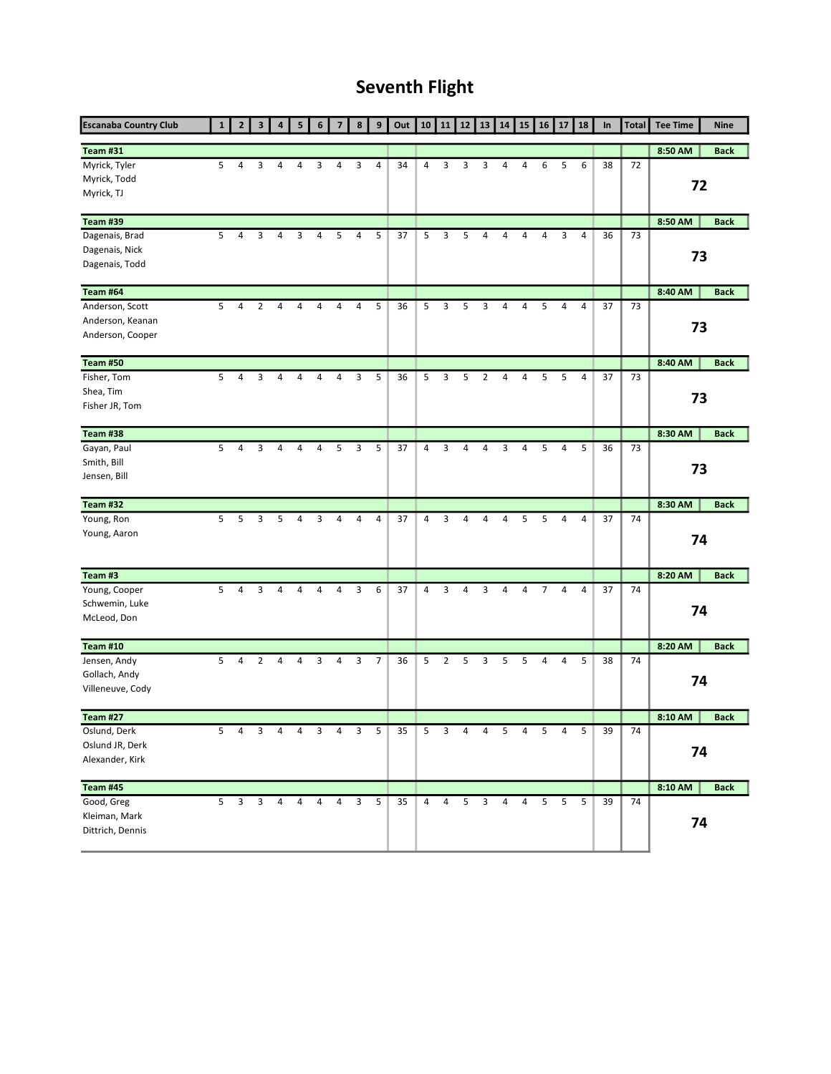### Seventh Flight

| <b>Escanaba Country Club</b>                            |                | $\overline{2}$          | 3            | 4              | 5 |                |   | 8              | 9              | Out | 10             | 11             | 12             | 13             | 14 | 15 | 16 | 17             | 18             | In | <b>Total</b> | <b>Tee Time</b> | <b>Nine</b> |
|---------------------------------------------------------|----------------|-------------------------|--------------|----------------|---|----------------|---|----------------|----------------|-----|----------------|----------------|----------------|----------------|----|----|----|----------------|----------------|----|--------------|-----------------|-------------|
| <b>Team #31</b>                                         |                |                         |              |                |   |                |   |                |                |     |                |                |                |                |    |    |    |                |                |    |              | 8:50 AM         | <b>Back</b> |
| Myrick, Tyler<br>Myrick, Todd<br>Myrick, TJ             | 5              | 4                       | 3            | 4              | 4 | 3              | 4 | 3              | 4              | 34  | 4              | 3              | 3              | 3              | 4  | 4  | 6  | 5              | 6              | 38 | 72           | 72              |             |
| <b>Team #39</b>                                         |                |                         |              |                |   |                |   |                |                |     |                |                |                |                |    |    |    |                |                |    |              | 8:50 AM         | <b>Back</b> |
| Dagenais, Brad<br>Dagenais, Nick<br>Dagenais, Todd      | 5              | 4                       | 3            | 4              | 3 | 4              | 5 | 4              | 5              | 37  | 5              | 3              | 5              | 4              | 4  | 4  | 4  | 3              | 4              | 36 | 73           | 73              |             |
| Team #64                                                |                |                         |              |                |   |                |   |                |                |     |                |                |                |                |    |    |    |                |                |    |              | 8:40 AM         | <b>Back</b> |
| Anderson, Scott<br>Anderson, Keanan<br>Anderson, Cooper | 5              | 4                       | 2            | 4              | 4 | 4              | 4 | 4              | 5              | 36  | 5              | 3              | 5              | 3              | 4  | 4  | 5  | 4              | 4              | 37 | 73           | 73              |             |
| <b>Team #50</b>                                         |                |                         |              |                |   |                |   |                |                |     |                |                |                |                |    |    |    |                |                |    |              | 8:40 AM         | <b>Back</b> |
| Fisher, Tom<br>Shea, Tim<br>Fisher JR, Tom              | 5              | 4                       | 3            | 4              | 4 | 4              | 4 | 3              | 5              | 36  | 5              | 3              | 5              | $\overline{2}$ | 4  | 4  | 5  | 5              | 4              | 37 | 73           | 73              |             |
| Team #38                                                |                |                         |              |                |   |                |   |                |                |     |                |                |                |                |    |    |    |                |                |    |              | 8:30 AM         | <b>Back</b> |
| Gayan, Paul<br>Smith, Bill<br>Jensen, Bill              | 5              | 4                       | 3            | 4              | 4 | 4              | 5 | 3              | 5              | 37  | 4              | 3              | $\overline{4}$ | $\overline{4}$ | 3  | 4  | 5  | 4              | 5              | 36 | 73           | 73              |             |
| Team #32                                                |                |                         |              |                |   |                |   |                |                |     |                |                |                |                |    |    |    |                |                |    |              | 8:30 AM         | <b>Back</b> |
| Young, Ron<br>Young, Aaron                              | 5              | 5                       | 3            | 5              | 4 | 3              | 4 | $\overline{4}$ | 4              | 37  | 4              | 3              | $\overline{4}$ | $\overline{4}$ | 4  | 5  | 5  | $\overline{4}$ | $\overline{4}$ | 37 | 74           | 74              |             |
| Team #3                                                 |                |                         |              |                |   |                |   |                |                |     |                |                |                |                |    |    |    |                |                |    |              | 8:20 AM         | <b>Back</b> |
| Young, Cooper<br>Schwemin, Luke<br>McLeod, Don          | 5              | 4                       | 3            | 4              | 4 | 4              | 4 | 3              | 6              | 37  | 4              | 3              | 4              | 3              | 4  | 4  | 7  | $\overline{4}$ | 4              | 37 | 74           | 74              |             |
| <b>Team #10</b>                                         |                |                         |              |                |   |                |   |                |                |     |                |                |                |                |    |    |    |                |                |    |              | 8:20 AM         | <b>Back</b> |
| Jensen, Andy<br>Gollach, Andy<br>Villeneuve, Cody       | 5              | 4                       | 2            | 4              | 4 | 3              | 4 | 3              | $\overline{7}$ | 36  | 5              | 2              | 5              | 3              | 5  | 5  | 4  | 4              | 5              | 38 | 74           | 74              |             |
| <b>Team #27</b>                                         |                |                         |              |                |   |                |   |                |                |     |                |                |                |                |    |    |    |                |                |    |              | 8:10 AM         | <b>Back</b> |
| Oslund, Derk<br>Oslund JR, Derk<br>Alexander, Kirk      | 5              | 4                       | 3            | $\overline{4}$ | 4 | 3              | 4 | 3              | 5              | 35  | 5              | 3              | 4              | 4              | 5  | 4  | 5  | 4              | 5              | 39 | 74           | 74              |             |
| <b>Team #45</b>                                         |                |                         |              |                |   |                |   |                |                |     |                |                |                |                |    |    |    |                |                |    |              | 8:10 AM         | <b>Back</b> |
| Good, Greg<br>Kleiman, Mark<br>Dittrich, Dennis         | 5 <sup>7</sup> | $\overline{\mathbf{3}}$ | $\mathbf{3}$ | 4              | 4 | $\overline{4}$ | 4 | $\overline{3}$ | 5              | 35  | $\overline{4}$ | $\overline{4}$ | 5              | $\mathbf{3}$   | 4  | 4  | 5  | 5              | 5              | 39 | 74           | 74              |             |